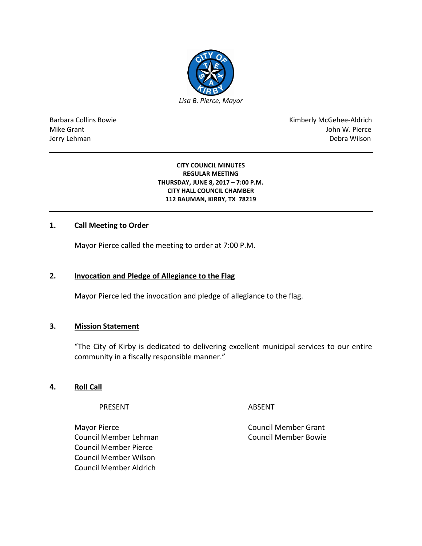

Barbara Collins Bowie **Kimberly McGehee-Aldrich** Mike Grant John W. Pierce Jerry Lehman Debra Wilson (2008) and the state of the state of the state of the state of the state of the state of the state of the state of the state of the state of the state of the state of the state of the state of the

#### **CITY COUNCIL MINUTES REGULAR MEETING THURSDAY, JUNE 8, 2017 – 7:00 P.M. CITY HALL COUNCIL CHAMBER 112 BAUMAN, KIRBY, TX 78219**

## **1. Call Meeting to Order**

Mayor Pierce called the meeting to order at 7:00 P.M.

#### **2. Invocation and Pledge of Allegiance to the Flag**

Mayor Pierce led the invocation and pledge of allegiance to the flag.

#### **3. Mission Statement**

"The City of Kirby is dedicated to delivering excellent municipal services to our entire community in a fiscally responsible manner."

### **4. Roll Call**

PRESENT ABSENT

Mayor Pierce **Council Member Grant** Council Member Lehman Council Member Bowie Council Member Pierce Council Member Wilson Council Member Aldrich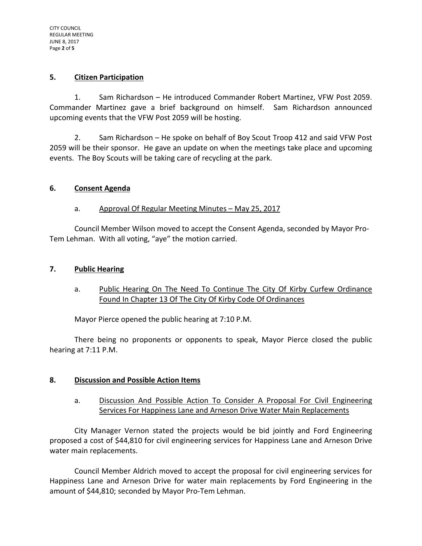#### **5. Citizen Participation**

1. Sam Richardson – He introduced Commander Robert Martinez, VFW Post 2059. Commander Martinez gave a brief background on himself. Sam Richardson announced upcoming events that the VFW Post 2059 will be hosting.

2. Sam Richardson – He spoke on behalf of Boy Scout Troop 412 and said VFW Post 2059 will be their sponsor. He gave an update on when the meetings take place and upcoming events. The Boy Scouts will be taking care of recycling at the park.

### **6. Consent Agenda**

## a. Approval Of Regular Meeting Minutes – May 25, 2017

Council Member Wilson moved to accept the Consent Agenda, seconded by Mayor Pro-Tem Lehman. With all voting, "aye" the motion carried.

### **7. Public Hearing**

## a. Public Hearing On The Need To Continue The City Of Kirby Curfew Ordinance Found In Chapter 13 Of The City Of Kirby Code Of Ordinances

Mayor Pierce opened the public hearing at 7:10 P.M.

There being no proponents or opponents to speak, Mayor Pierce closed the public hearing at 7:11 P.M.

## **8. Discussion and Possible Action Items**

a. Discussion And Possible Action To Consider A Proposal For Civil Engineering Services For Happiness Lane and Arneson Drive Water Main Replacements

City Manager Vernon stated the projects would be bid jointly and Ford Engineering proposed a cost of \$44,810 for civil engineering services for Happiness Lane and Arneson Drive water main replacements.

Council Member Aldrich moved to accept the proposal for civil engineering services for Happiness Lane and Arneson Drive for water main replacements by Ford Engineering in the amount of \$44,810; seconded by Mayor Pro-Tem Lehman.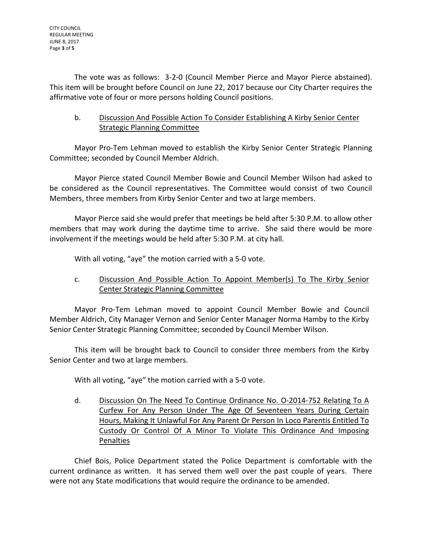The vote was as follows: 3-2-0 (Council Member Pierce and Mayor Pierce abstained). This item will be brought before Council on June 22, 2017 because our City Charter requires the affirmative vote of four or more persons holding Council positions.

# b. Discussion And Possible Action To Consider Establishing A Kirby Senior Center Strategic Planning Committee

Mayor Pro-Tem Lehman moved to establish the Kirby Senior Center Strategic Planning Committee; seconded by Council Member Aldrich.

Mayor Pierce stated Council Member Bowie and Council Member Wilson had asked to be considered as the Council representatives. The Committee would consist of two Council Members, three members from Kirby Senior Center and two at large members.

Mayor Pierce said she would prefer that meetings be held after 5:30 P.M. to allow other members that may work during the daytime time to arrive. She said there would be more involvement if the meetings would be held after 5:30 P.M. at city hall.

With all voting, "aye" the motion carried with a 5-0 vote.

# c. Discussion And Possible Action To Appoint Member(s) To The Kirby Senior Center Strategic Planning Committee

Mayor Pro-Tem Lehman moved to appoint Council Member Bowie and Council Member Aldrich, City Manager Vernon and Senior Center Manager Norma Hamby to the Kirby Senior Center Strategic Planning Committee; seconded by Council Member Wilson.

This item will be brought back to Council to consider three members from the Kirby Senior Center and two at large members.

With all voting, "aye" the motion carried with a 5-0 vote.

d. Discussion On The Need To Continue Ordinance No. O-2014-752 Relating To A Curfew For Any Person Under The Age Of Seventeen Years During Certain Hours, Making It Unlawful For Any Parent Or Person In Loco Parentis Entitled To Custody Or Control Of A Minor To Violate This Ordinance And Imposing Penalties

Chief Bois, Police Department stated the Police Department is comfortable with the current ordinance as written. It has served them well over the past couple of years. There were not any State modifications that would require the ordinance to be amended.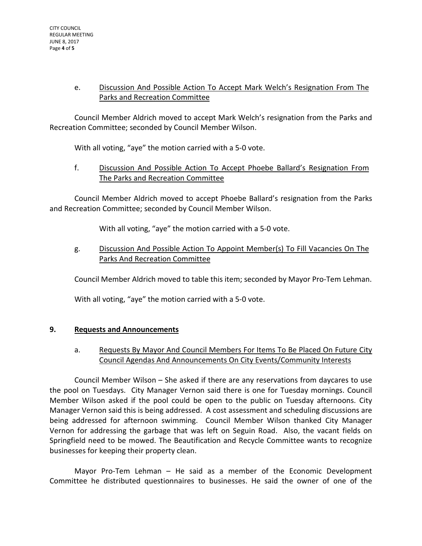# e. Discussion And Possible Action To Accept Mark Welch's Resignation From The Parks and Recreation Committee

Council Member Aldrich moved to accept Mark Welch's resignation from the Parks and Recreation Committee; seconded by Council Member Wilson.

With all voting, "aye" the motion carried with a 5-0 vote.

f. Discussion And Possible Action To Accept Phoebe Ballard's Resignation From The Parks and Recreation Committee

Council Member Aldrich moved to accept Phoebe Ballard's resignation from the Parks and Recreation Committee; seconded by Council Member Wilson.

With all voting, "aye" the motion carried with a 5-0 vote.

g. Discussion And Possible Action To Appoint Member(s) To Fill Vacancies On The Parks And Recreation Committee

Council Member Aldrich moved to table this item; seconded by Mayor Pro-Tem Lehman.

With all voting, "aye" the motion carried with a 5-0 vote.

## **9. Requests and Announcements**

# a. Requests By Mayor And Council Members For Items To Be Placed On Future City Council Agendas And Announcements On City Events/Community Interests

Council Member Wilson – She asked if there are any reservations from daycares to use the pool on Tuesdays. City Manager Vernon said there is one for Tuesday mornings. Council Member Wilson asked if the pool could be open to the public on Tuesday afternoons. City Manager Vernon said this is being addressed. A cost assessment and scheduling discussions are being addressed for afternoon swimming. Council Member Wilson thanked City Manager Vernon for addressing the garbage that was left on Seguin Road. Also, the vacant fields on Springfield need to be mowed. The Beautification and Recycle Committee wants to recognize businesses for keeping their property clean.

Mayor Pro-Tem Lehman – He said as a member of the Economic Development Committee he distributed questionnaires to businesses. He said the owner of one of the